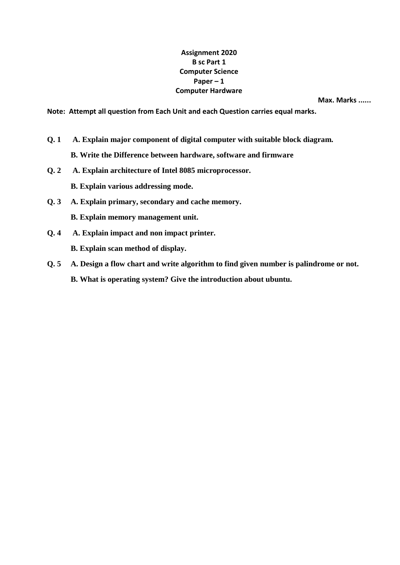## **Assignment 2020 B sc Part 1 Computer Science Paper – 1 Computer Hardware**

**Max. Marks ......** 

**Note: Attempt all question from Each Unit and each Question carries equal marks.** 

**Q. 1 A. Explain major component of digital computer with suitable block diagram.** 

**B. Write the Difference between hardware, software and firmware** 

- **Q. 2 A. Explain architecture of Intel 8085 microprocessor. B. Explain various addressing mode.**
- **Q. 3 A. Explain primary, secondary and cache memory. B. Explain memory management unit.**
- **Q. 4 A. Explain impact and non impact printer. B. Explain scan method of display.**
- **Q. 5 A. Design a flow chart and write algorithm to find given number is palindrome or not. B. What is operating system? Give the introduction about ubuntu.**